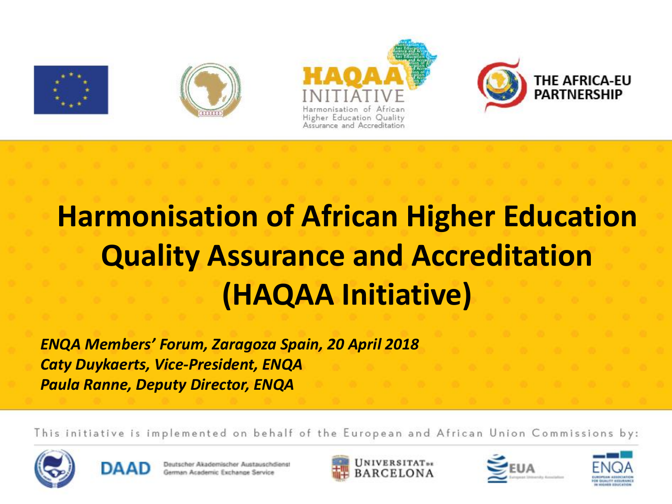

### **Harmonisation of African Higher Education Quality Assurance and Accreditation (HAQAA Initiative)**

*ENQA Members' Forum, Zaragoza Spain, 20 April 2018 Caty Duykaerts, Vice-President, ENQA Paula Ranne, Deputy Director, ENQA*

This initiative is implemented on behalf of the European and African Union Commissions by:









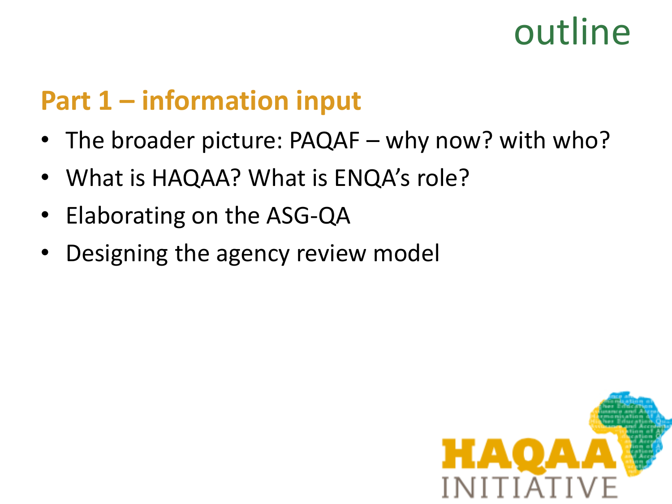### outline

#### **Part 1 – information input**

- The broader picture: PAQAF why now? with who?
- What is HAQAA? What is ENQA's role?
- Elaborating on the ASG-QA
- Designing the agency review model

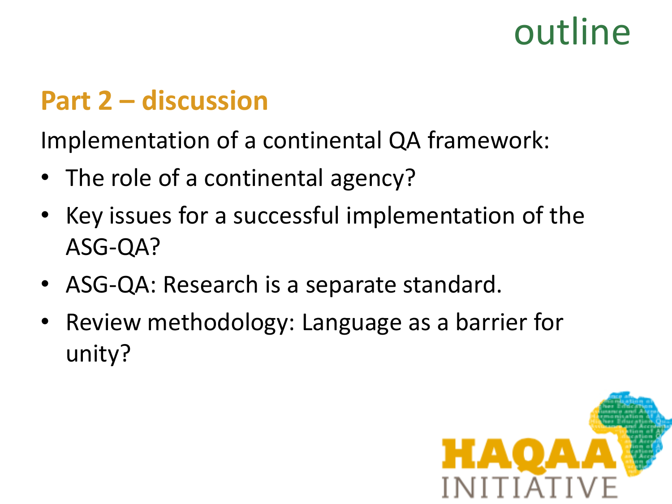### outline

#### **Part 2 – discussion**

Implementation of a continental QA framework:

- The role of a continental agency?
- Key issues for a successful implementation of the ASG-QA?
- ASG-QA: Research is a separate standard.
- Review methodology: Language as a barrier for unity?

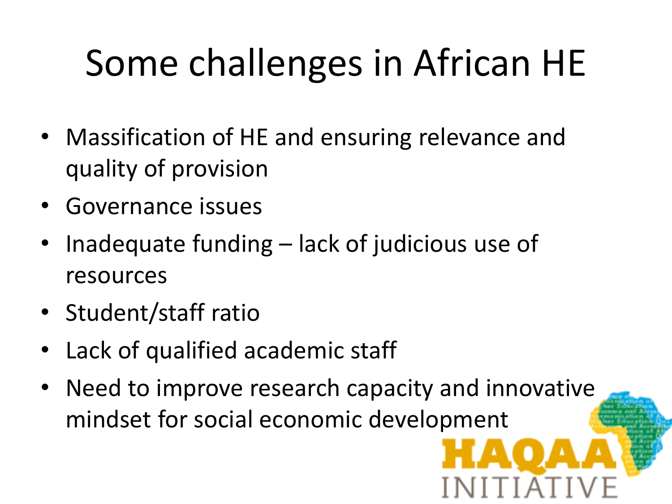# Some challenges in African HE

- Massification of HE and ensuring relevance and quality of provision
- Governance issues
- Inadequate funding lack of judicious use of resources
- Student/staff ratio
- Lack of qualified academic staff
- Need to improve research capacity and innovative mindset for social economic development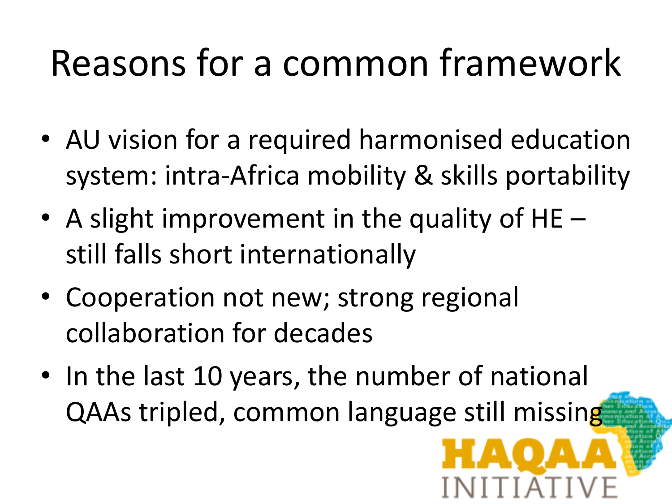## Reasons for a common framework

- AU vision for a required harmonised education system: intra-Africa mobility & skills portability
- A slight improvement in the quality of  $HE$ still falls short internationally
- Cooperation not new; strong regional collaboration for decades
- In the last 10 years, the number of national QAAs tripled, common language still missing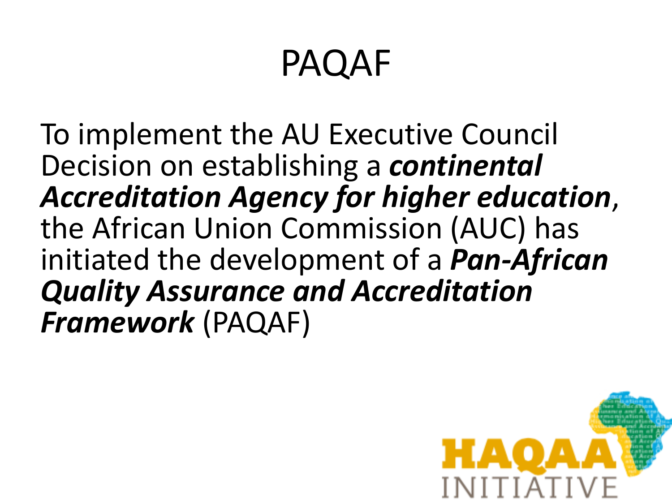### PAQAF

To implement the AU Executive Council Decision on establishing a *continental Accreditation Agency for higher education*, the African Union Commission (AUC) has initiated the development of a *Pan-African Quality Assurance and Accreditation Framework* (PAQAF)

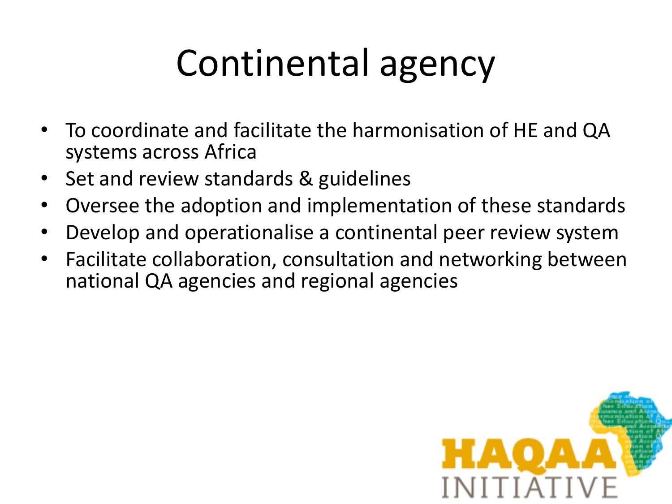## Continental agency

- To coordinate and facilitate the harmonisation of HE and QA systems across Africa
- Set and review standards & guidelines
- Oversee the adoption and implementation of these standards
- Develop and operationalise a continental peer review system
- Facilitate collaboration, consultation and networking between national QA agencies and regional agencies

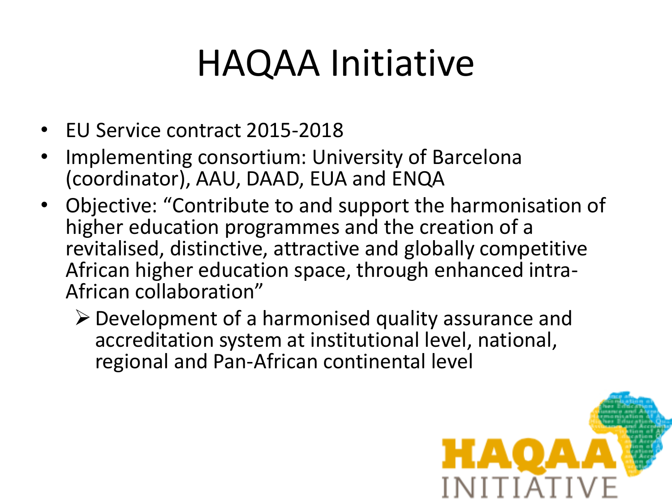### HAQAA Initiative

- EU Service contract 2015-2018
- Implementing consortium: University of Barcelona (coordinator), AAU, DAAD, EUA and ENQA
- Objective: "Contribute to and support the harmonisation of higher education programmes and the creation of a revitalised, distinctive, attractive and globally competitive African higher education space, through enhanced intra-African collaboration"
	- $\triangleright$  Development of a harmonised quality assurance and accreditation system at institutional level, national, regional and Pan-African continental level

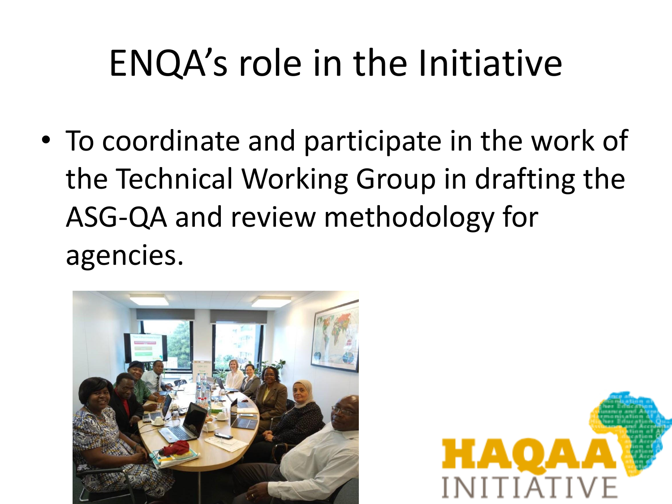## ENQA's role in the Initiative

• To coordinate and participate in the work of the Technical Working Group in drafting the ASG-QA and review methodology for agencies.



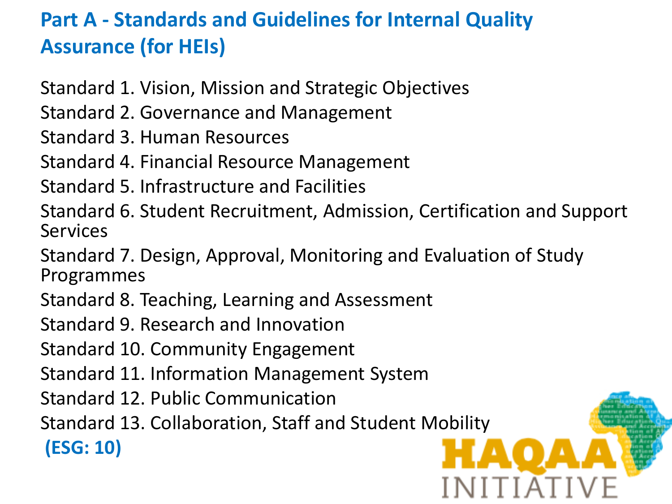#### **Part A - Standards and Guidelines for Internal Quality Assurance (for HEIs)**

Standard 1. Vision, Mission and Strategic Objectives

Standard 2. Governance and Management

Standard 3. Human Resources

Standard 4. Financial Resource Management

Standard 5. Infrastructure and Facilities

Standard 6. Student Recruitment, Admission, Certification and Support Services

Standard 7. Design, Approval, Monitoring and Evaluation of Study Programmes

Standard 8. Teaching, Learning and Assessment

Standard 9. Research and Innovation

Standard 10. Community Engagement

Standard 11. Information Management System

Standard 12. Public Communication

Standard 13. Collaboration, Staff and Student Mobility

**(ESG: 10)**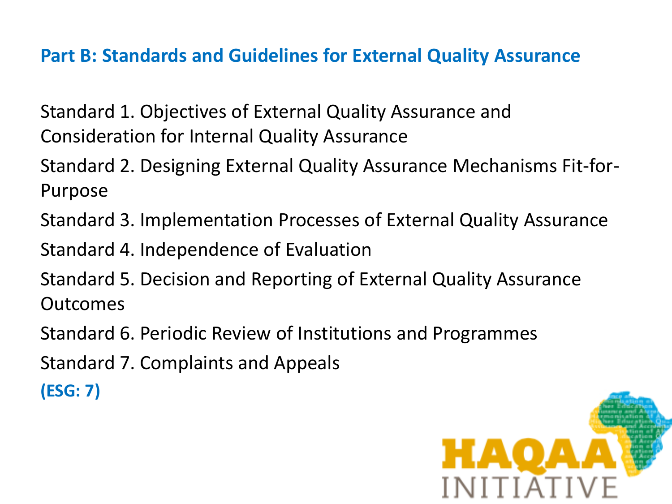#### **Part B: Standards and Guidelines for External Quality Assurance**

Standard 1. Objectives of External Quality Assurance and Consideration for Internal Quality Assurance

Standard 2. Designing External Quality Assurance Mechanisms Fit-for-Purpose

Standard 3. Implementation Processes of External Quality Assurance

Standard 4. Independence of Evaluation

Standard 5. Decision and Reporting of External Quality Assurance Outcomes

Standard 6. Periodic Review of Institutions and Programmes

Standard 7. Complaints and Appeals

**(ESG: 7)**

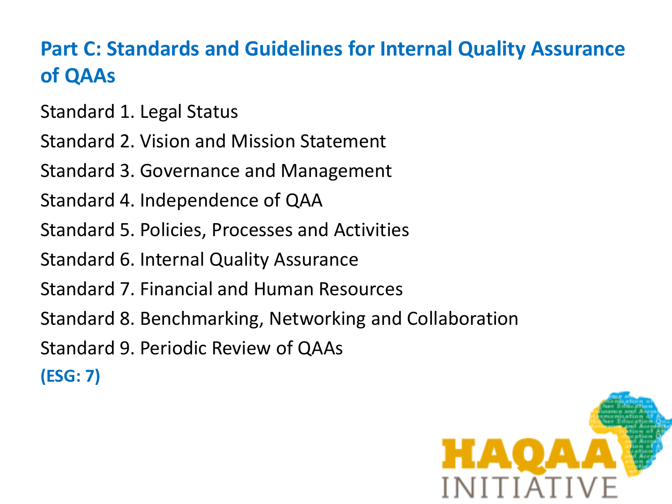#### **Part C: Standards and Guidelines for Internal Quality Assurance of QAAs**

Standard 1. Legal Status

Standard 2. Vision and Mission Statement

Standard 3. Governance and Management

Standard 4. Independence of QAA

Standard 5. Policies, Processes and Activities

Standard 6. Internal Quality Assurance

Standard 7. Financial and Human Resources

Standard 8. Benchmarking, Networking and Collaboration

Standard 9. Periodic Review of QAAs

**(ESG: 7)**

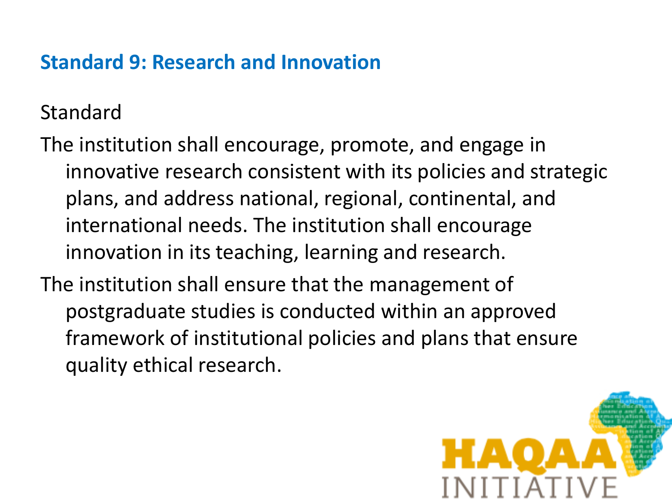#### **Standard 9: Research and Innovation**

Standard

The institution shall encourage, promote, and engage in innovative research consistent with its policies and strategic plans, and address national, regional, continental, and international needs. The institution shall encourage innovation in its teaching, learning and research.

The institution shall ensure that the management of postgraduate studies is conducted within an approved framework of institutional policies and plans that ensure quality ethical research.

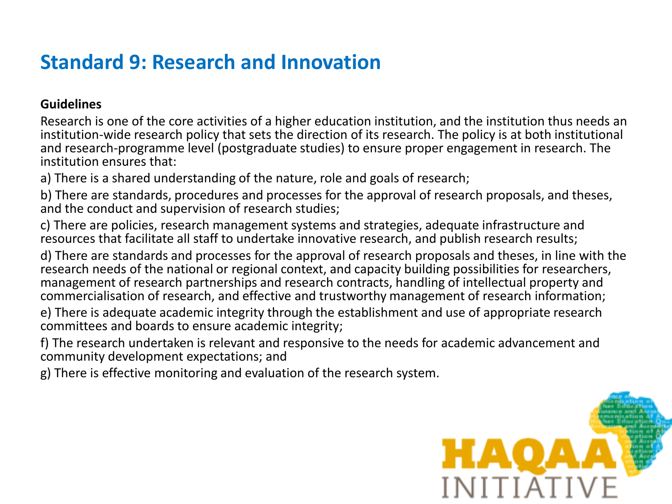#### **Standard 9: Research and Innovation**

#### **Guidelines**

Research is one of the core activities of a higher education institution, and the institution thus needs an institution-wide research policy that sets the direction of its research. The policy is at both institutional and research-programme level (postgraduate studies) to ensure proper engagement in research. The institution ensures that:

a) There is a shared understanding of the nature, role and goals of research;

b) There are standards, procedures and processes for the approval of research proposals, and theses, and the conduct and supervision of research studies;

c) There are policies, research management systems and strategies, adequate infrastructure and resources that facilitate all staff to undertake innovative research, and publish research results;

d) There are standards and processes for the approval of research proposals and theses, in line with the research needs of the national or regional context, and capacity building possibilities for researchers, management of research partnerships and research contracts, handling of intellectual property and commercialisation of research, and effective and trustworthy management of research information;

e) There is adequate academic integrity through the establishment and use of appropriate research committees and boards to ensure academic integrity;

f) The research undertaken is relevant and responsive to the needs for academic advancement and community development expectations; and

g) There is effective monitoring and evaluation of the research system.